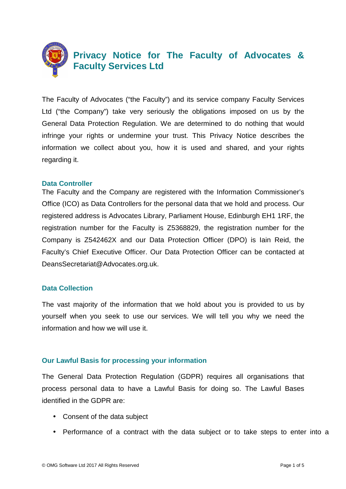

# **Privacy Notice for The Faculty of Advocates & Faculty Services Ltd**

The Faculty of Advocates ("the Faculty") and its service company Faculty Services Ltd ("the Company") take very seriously the obligations imposed on us by the General Data Protection Regulation. We are determined to do nothing that would infringe your rights or undermine your trust. This Privacy Notice describes the information we collect about you, how it is used and shared, and your rights regarding it.

#### **Data Controller**

The Faculty and the Company are registered with the Information Commissioner's Office (ICO) as Data Controllers for the personal data that we hold and process. Our registered address is Advocates Library, Parliament House, Edinburgh EH1 1RF, the registration number for the Faculty is Z5368829, the registration number for the Company is Z542462X and our Data Protection Officer (DPO) is Iain Reid, the Faculty's Chief Executive Officer. Our Data Protection Officer can be contacted at DeansSecretariat@Advocates.org.uk.

### **Data Collection**

The vast majority of the information that we hold about you is provided to us by yourself when you seek to use our services. We will tell you why we need the information and how we will use it.

## **Our Lawful Basis for processing your information**

The General Data Protection Regulation (GDPR) requires all organisations that process personal data to have a Lawful Basis for doing so. The Lawful Bases identified in the GDPR are:

- Consent of the data subject
- Performance of a contract with the data subject or to take steps to enter into a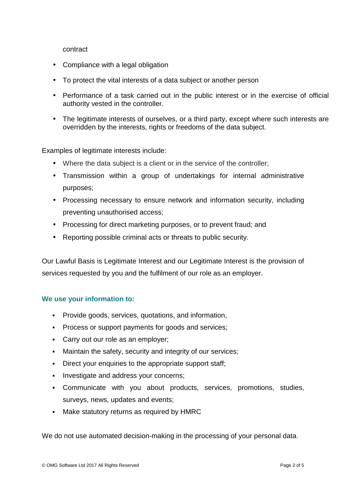contract

- Compliance with a legal obligation
- To protect the vital interests of a data subject or another person
- Performance of a task carried out in the public interest or in the exercise of official authority vested in the controller.
- The legitimate interests of ourselves, or a third party, except where such interests are overridden by the interests, rights or freedoms of the data subject.

Examples of legitimate interests include:

- Where the data subject is a client or in the service of the controller:
- Transmission within a group of undertakings for internal administrative purposes;
- Processing necessary to ensure network and information security, including preventing unauthorised access;
- Processing for direct marketing purposes, or to prevent fraud; and
- Reporting possible criminal acts or threats to public security.

Our Lawful Basis is Legitimate Interest and our Legitimate Interest is the provision of services requested by you and the fulfilment of our role as an employer.

### **We use your information to:**

- Provide goods, services, quotations, and information,
- **Process or support payments for goods and services;**
- **Carry out our role as an employer;**
- Maintain the safety, security and integrity of our services;
- Direct your enquiries to the appropriate support staff;
- Investigate and address your concerns;
- Communicate with you about products, services, promotions, studies, surveys, news, updates and events;
- Make statutory returns as required by HMRC

We do not use automated decision-making in the processing of your personal data.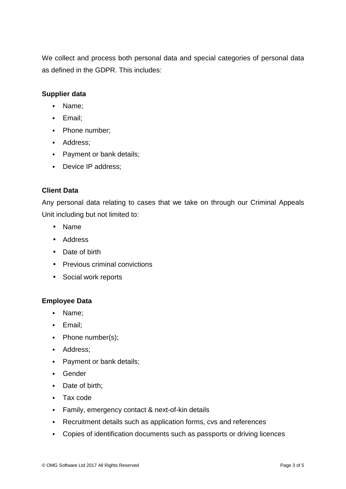We collect and process both personal data and special categories of personal data as defined in the GDPR. This includes:

## **Supplier data**

- Name;
- Email;
- Phone number;
- **Address:**
- Payment or bank details;
- Device IP address;

## **Client Data**

Any personal data relating to cases that we take on through our Criminal Appeals Unit including but not limited to:

- Name
- Address
- Date of birth
- Previous criminal convictions
- Social work reports

### **Employee Data**

- Name;
- **Email:**
- Phone number(s);
- **Address**;
- Payment or bank details;
- **Gender**
- Date of birth:
- Tax code
- Family, emergency contact & next-of-kin details
- Recruitment details such as application forms, cvs and references
- Copies of identification documents such as passports or driving licences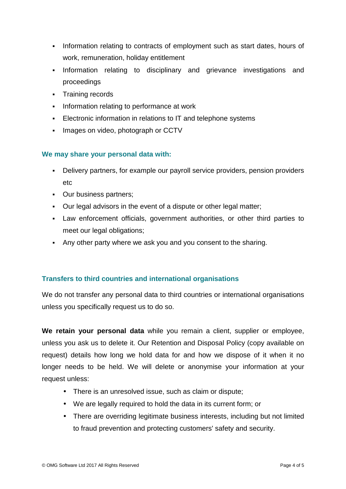- Information relating to contracts of employment such as start dates, hours of work, remuneration, holiday entitlement
- Information relating to disciplinary and grievance investigations and proceedings
- **Training records**
- **Information relating to performance at work**
- Electronic information in relations to IT and telephone systems
- **Images on video, photograph or CCTV**

### **We may share your personal data with:**

- Delivery partners, for example our payroll service providers, pension providers etc
- Our business partners;
- Our legal advisors in the event of a dispute or other legal matter;
- Law enforcement officials, government authorities, or other third parties to meet our legal obligations;
- Any other party where we ask you and you consent to the sharing.

### **Transfers to third countries and international organisations**

We do not transfer any personal data to third countries or international organisations unless you specifically request us to do so.

**We retain your personal data** while you remain a client, supplier or employee, unless you ask us to delete it. Our Retention and Disposal Policy (copy available on request) details how long we hold data for and how we dispose of it when it no longer needs to be held. We will delete or anonymise your information at your request unless:

- There is an unresolved issue, such as claim or dispute;
- We are legally required to hold the data in its current form; or
- There are overriding legitimate business interests, including but not limited to fraud prevention and protecting customers' safety and security.